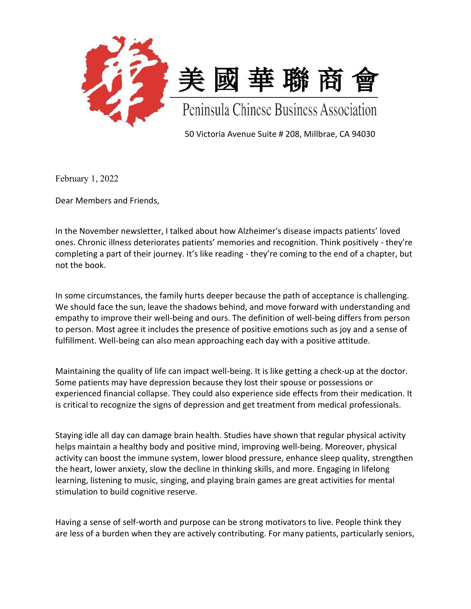

50 Victoria Avenue Suite # 208, Millbrae, CA 94030

February 1, 2022

Dear Members and Friends,

In the November newsletter, I talked about how Alzheimer's disease impacts patients' loved ones. Chronic illness deteriorates patients' memories and recognition. Think positively - they're completing a part of their journey. It's like reading - they're coming to the end of a chapter, but not the book.

In some circumstances, the family hurts deeper because the path of acceptance is challenging. We should face the sun, leave the shadows behind, and move forward with understanding and empathy to improve their well-being and ours. The definition of well-being differs from person to person. Most agree it includes the presence of positive emotions such as joy and a sense of fulfillment. Well-being can also mean approaching each day with a positive attitude.

Maintaining the quality of life can impact well-being. It is like getting a check-up at the doctor. Some patients may have depression because they lost their spouse or possessions or experienced financial collapse. They could also experience side effects from their medication. It is critical to recognize the signs of depression and get treatment from medical professionals.

Staying idle all day can damage brain health. Studies have shown that regular physical activity helps maintain a healthy body and positive mind, improving well-being. Moreover, physical activity can boost the immune system, lower blood pressure, enhance sleep quality, strengthen the heart, lower anxiety, slow the decline in thinking skills, and more. Engaging in lifelong learning, listening to music, singing, and playing brain games are great activities for mental stimulation to build cognitive reserve.

Having a sense of self-worth and purpose can be strong motivators to live. People think they are less of a burden when they are actively contributing. For many patients, particularly seniors,